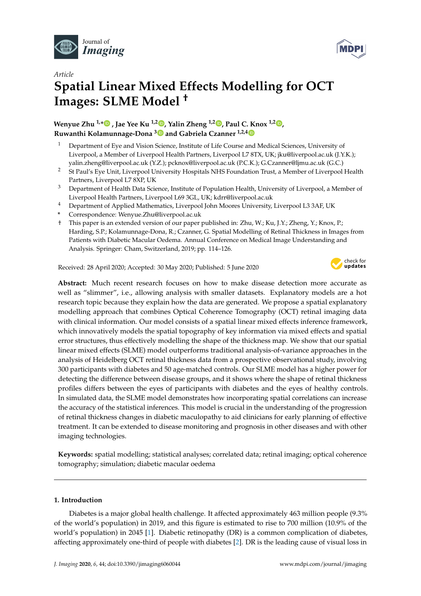



# *Article* **Spatial Linear Mixed Effects Modelling for OCT Images: SLME Model †**

**Wenyue Zhu 1,[\\*](https://orcid.org/0000-0002-5731-4364) , Jae Yee Ku 1,2 [,](https://orcid.org/0000-0002-5758-7346) Yalin Zheng 1,2 [,](https://orcid.org/0000-0002-7873-0922) Paul C. Knox 1,2 [,](https://orcid.org/0000-0002-2578-7335) Ruwanthi Kolamunnage-Dona [3](https://orcid.org/0000-0003-3886-6208) and Gabriela Czanner 1,2,[4](https://orcid.org/0000-0002-1157-2093)**

- <sup>1</sup> Department of Eye and Vision Science, Institute of Life Course and Medical Sciences, University of Liverpool, a Member of Liverpool Health Partners, Liverpool L7 8TX, UK; jku@liverpool.ac.uk (J.Y.K.); yalin.zheng@liverpool.ac.uk (Y.Z.); pcknox@liverpool.ac.uk (P.C.K.); G.Czanner@ljmu.ac.uk (G.C.)
- <sup>2</sup> St Paul's Eye Unit, Liverpool University Hospitals NHS Foundation Trust, a Member of Liverpool Health Partners, Liverpool L7 8XP, UK
- <sup>3</sup> Department of Health Data Science, Institute of Population Health, University of Liverpool, a Member of Liverpool Health Partners, Liverpool L69 3GL, UK; kdrr@liverpool.ac.uk
- <sup>4</sup> Department of Applied Mathematics, Liverpool John Moores University, Liverpool L3 3AF, UK
- **\*** Correspondence: Wenyue.Zhu@liverpool.ac.uk
- † This paper is an extended version of our paper published in: Zhu, W.; Ku, J.Y.; Zheng, Y.; Knox, P.; Harding, S.P.; Kolamunnage-Dona, R.; Czanner, G. Spatial Modelling of Retinal Thickness in Images from Patients with Diabetic Macular Oedema. Annual Conference on Medical Image Understanding and Analysis. Springer: Cham, Switzerland, 2019; pp. 114–126.

Received: 28 April 2020; Accepted: 30 May 2020; Published: 5 June 2020



**Abstract:** Much recent research focuses on how to make disease detection more accurate as well as "slimmer", i.e., allowing analysis with smaller datasets. Explanatory models are a hot research topic because they explain how the data are generated. We propose a spatial explanatory modelling approach that combines Optical Coherence Tomography (OCT) retinal imaging data with clinical information. Our model consists of a spatial linear mixed effects inference framework, which innovatively models the spatial topography of key information via mixed effects and spatial error structures, thus effectively modelling the shape of the thickness map. We show that our spatial linear mixed effects (SLME) model outperforms traditional analysis-of-variance approaches in the analysis of Heidelberg OCT retinal thickness data from a prospective observational study, involving 300 participants with diabetes and 50 age-matched controls. Our SLME model has a higher power for detecting the difference between disease groups, and it shows where the shape of retinal thickness profiles differs between the eyes of participants with diabetes and the eyes of healthy controls. In simulated data, the SLME model demonstrates how incorporating spatial correlations can increase the accuracy of the statistical inferences. This model is crucial in the understanding of the progression of retinal thickness changes in diabetic maculopathy to aid clinicians for early planning of effective treatment. It can be extended to disease monitoring and prognosis in other diseases and with other imaging technologies.

**Keywords:** spatial modelling; statistical analyses; correlated data; retinal imaging; optical coherence tomography; simulation; diabetic macular oedema

# **1. Introduction**

Diabetes is a major global health challenge. It affected approximately 463 million people (9.3% of the world's population) in 2019, and this figure is estimated to rise to 700 million (10.9% of the world's population) in 2045 [\[1\]](#page-14-0). Diabetic retinopathy (DR) is a common complication of diabetes, affecting approximately one-third of people with diabetes [\[2\]](#page-14-1). DR is the leading cause of visual loss in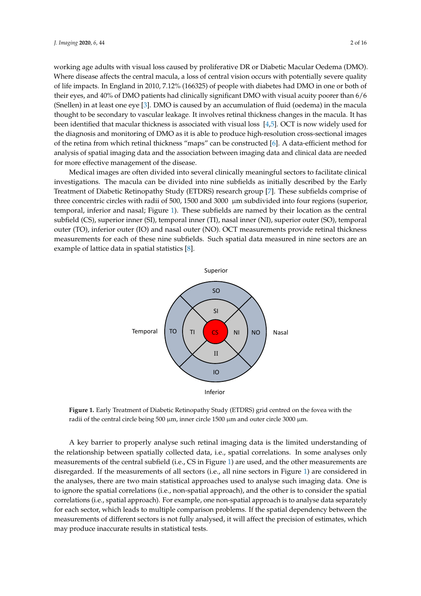working age adults with visual loss caused by proliferative DR or Diabetic Macular Oedema (DMO). Where disease affects the central macula, a loss of central vision occurs with potentially severe quality of life impacts. In England in 2010, 7.12% (166325) of people with diabetes had DMO in one or both of their eyes, and 40% of DMO patients had clinically significant DMO with visual acuity poorer than 6/6 (Snellen) in at least one eye [\[3\]](#page-14-2). DMO is caused by an accumulation of fluid (oedema) in the macula thought to be secondary to vascular leakage. It involves retinal thickness changes in the macula. It has been identified that macular thickness is associated with visual loss [\[4,](#page-14-3)[5\]](#page-14-4). OCT is now widely used for the diagnosis and monitoring of DMO as it is able to produce high-resolution cross-sectional images of the retina from which retinal thickness "maps" can be constructed [\[6\]](#page-14-5). A data-efficient method for analysis of spatial imaging data and the association between imaging data and clinical data are needed for more effective management of the disease.

Medical images are often divided into several clinically meaningful sectors to facilitate clinical investigations. The macula can be divided into nine subfields as initially described by the Early Treatment of Diabetic Retinopathy Study (ETDRS) research group [\[7\]](#page-14-6). These subfields comprise of three concentric circles with radii of 500, 1500 and 3000  $\,\mu$ m subdivided into four regions (superior, temporal, inferior and nasal; Figure [1\)](#page-1-0). These subfields are named by their location as the central subfield (CS), superior inner (SI), temporal inner (TI), nasal inner (NI), superior outer (SO), temporal outer (TO), inferior outer (IO) and nasal outer (NO). OCT measurements provide retinal thickness measurements for each of these nine subfields. Such spatial data measured in nine sectors are an example of lattice data in spatial statistics [\[8\]](#page-14-7).

<span id="page-1-0"></span>

**Figure 1.** Early Treatment of Diabetic Retinopathy Study (ETDRS) grid centred on the fovea with the radii of the central circle being 500 µm, inner circle 1500 µm and outer circle 3000 µm.

A key barrier to properly analyse such retinal imaging data is the limited understanding of the relationship between spatially collected data, i.e., spatial correlations. In some analyses only measurements of the central subfield (i.e., CS in Figure [1\)](#page-1-0) are used, and the other measurements are disregarded. If the measurements of all sectors (i.e., all nine sectors in Figure [1\)](#page-1-0) are considered in the analyses, there are two main statistical approaches used to analyse such imaging data. One is to ignore the spatial correlations (i.e., non-spatial approach), and the other is to consider the spatial correlations (i.e., spatial approach). For example, one non-spatial approach is to analyse data separately for each sector, which leads to multiple comparison problems. If the spatial dependency between the measurements of different sectors is not fully analysed, it will affect the precision of estimates, which may produce inaccurate results in statistical tests.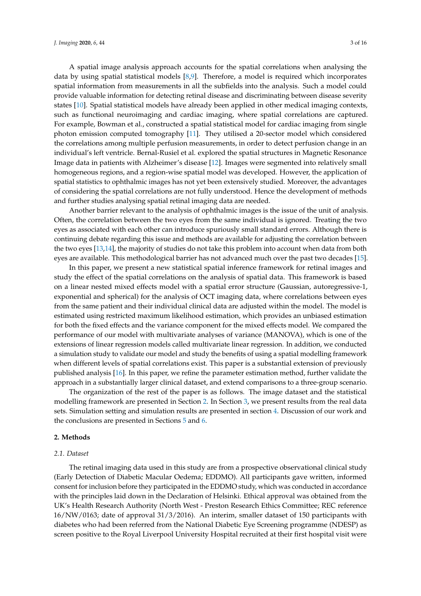A spatial image analysis approach accounts for the spatial correlations when analysing the data by using spatial statistical models [\[8](#page-14-7)[,9\]](#page-14-8). Therefore, a model is required which incorporates spatial information from measurements in all the subfields into the analysis. Such a model could provide valuable information for detecting retinal disease and discriminating between disease severity states [\[10\]](#page-14-9). Spatial statistical models have already been applied in other medical imaging contexts, such as functional neuroimaging and cardiac imaging, where spatial correlations are captured. For example, Bowman et al., constructed a spatial statistical model for cardiac imaging from single photon emission computed tomography [\[11\]](#page-14-10). They utilised a 20-sector model which considered the correlations among multiple perfusion measurements, in order to detect perfusion change in an individual's left ventricle. Bernal-Rusiel et al. explored the spatial structures in Magnetic Resonance Image data in patients with Alzheimer's disease [\[12\]](#page-14-11). Images were segmented into relatively small homogeneous regions, and a region-wise spatial model was developed. However, the application of spatial statistics to ophthalmic images has not yet been extensively studied. Moreover, the advantages of considering the spatial correlations are not fully understood. Hence the development of methods and further studies analysing spatial retinal imaging data are needed.

Another barrier relevant to the analysis of ophthalmic images is the issue of the unit of analysis. Often, the correlation between the two eyes from the same individual is ignored. Treating the two eyes as associated with each other can introduce spuriously small standard errors. Although there is continuing debate regarding this issue and methods are available for adjusting the correlation between the two eyes [\[13](#page-14-12)[,14\]](#page-15-0), the majority of studies do not take this problem into account when data from both eyes are available. This methodological barrier has not advanced much over the past two decades [\[15\]](#page-15-1).

In this paper, we present a new statistical spatial inference framework for retinal images and study the effect of the spatial correlations on the analysis of spatial data. This framework is based on a linear nested mixed effects model with a spatial error structure (Gaussian, autoregressive-1, exponential and spherical) for the analysis of OCT imaging data, where correlations between eyes from the same patient and their individual clinical data are adjusted within the model. The model is estimated using restricted maximum likelihood estimation, which provides an unbiased estimation for both the fixed effects and the variance component for the mixed effects model. We compared the performance of our model with multivariate analyses of variance (MANOVA), which is one of the extensions of linear regression models called multivariate linear regression. In addition, we conducted a simulation study to validate our model and study the benefits of using a spatial modelling framework when different levels of spatial correlations exist. This paper is a substantial extension of previously published analysis [\[16\]](#page-15-2). In this paper, we refine the parameter estimation method, further validate the approach in a substantially larger clinical dataset, and extend comparisons to a three-group scenario.

The organization of the rest of the paper is as follows. The image dataset and the statistical modelling framework are presented in Section [2.](#page-2-0) In Section [3,](#page-6-0) we present results from the real data sets. Simulation setting and simulation results are presented in section [4.](#page-11-0) Discussion of our work and the conclusions are presented in Sections [5](#page-12-0) and [6.](#page-13-0)

#### <span id="page-2-0"></span>**2. Methods**

### *2.1. Dataset*

The retinal imaging data used in this study are from a prospective observational clinical study (Early Detection of Diabetic Macular Oedema; EDDMO). All participants gave written, informed consent for inclusion before they participated in the EDDMO study, which was conducted in accordance with the principles laid down in the Declaration of Helsinki. Ethical approval was obtained from the UK's Health Research Authority (North West - Preston Research Ethics Committee; REC reference 16/NW/0163; date of approval 31/3/2016). An interim, smaller dataset of 150 participants with diabetes who had been referred from the National Diabetic Eye Screening programme (NDESP) as screen positive to the Royal Liverpool University Hospital recruited at their first hospital visit were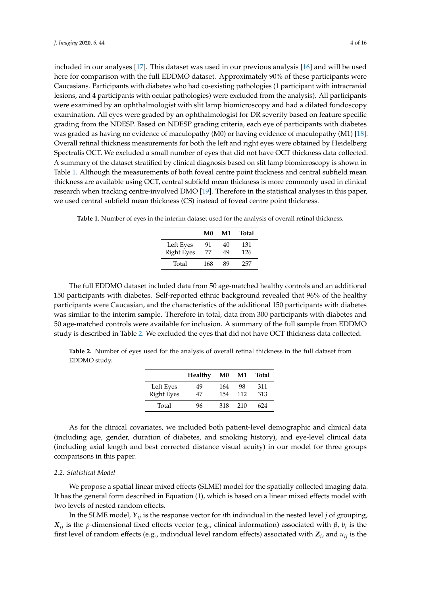included in our analyses [\[17\]](#page-15-3). This dataset was used in our previous analysis [\[16\]](#page-15-2) and will be used here for comparison with the full EDDMO dataset. Approximately 90% of these participants were Caucasians. Participants with diabetes who had co-existing pathologies (1 participant with intracranial lesions, and 4 participants with ocular pathologies) were excluded from the analysis). All participants were examined by an ophthalmologist with slit lamp biomicroscopy and had a dilated fundoscopy examination. All eyes were graded by an ophthalmologist for DR severity based on feature specific grading from the NDESP. Based on NDESP grading criteria, each eye of participants with diabetes was graded as having no evidence of maculopathy (M0) or having evidence of maculopathy (M1) [\[18\]](#page-15-4). Overall retinal thickness measurements for both the left and right eyes were obtained by Heidelberg Spectralis OCT. We excluded a small number of eyes that did not have OCT thickness data collected. A summary of the dataset stratified by clinical diagnosis based on slit lamp biomicroscopy is shown in Table [1.](#page-3-0) Although the measurements of both foveal centre point thickness and central subfield mean thickness are available using OCT, central subfield mean thickness is more commonly used in clinical research when tracking centre-involved DMO [\[19\]](#page-15-5). Therefore in the statistical analyses in this paper, we used central subfield mean thickness (CS) instead of foveal centre point thickness.

|                   | M0  | M1 | Total |
|-------------------|-----|----|-------|
| Left Eyes         | 91  | 40 | 131   |
| <b>Right Eyes</b> | 77  | 49 | 126   |
| Total             | 168 | 89 | 257   |

<span id="page-3-0"></span>**Table 1.** Number of eyes in the interim dataset used for the analysis of overall retinal thickness.

The full EDDMO dataset included data from 50 age-matched healthy controls and an additional 150 participants with diabetes. Self-reported ethnic background revealed that 96% of the healthy participants were Caucasian, and the characteristics of the additional 150 participants with diabetes was similar to the interim sample. Therefore in total, data from 300 participants with diabetes and 50 age-matched controls were available for inclusion. A summary of the full sample from EDDMO study is described in Table [2.](#page-3-1) We excluded the eyes that did not have OCT thickness data collected.

<span id="page-3-1"></span>**Table 2.** Number of eyes used for the analysis of overall retinal thickness in the full dataset from EDDMO study.

|                                | Healthy  | M0         | M1        | Total      |
|--------------------------------|----------|------------|-----------|------------|
| Left Eyes<br><b>Right Eyes</b> | 49<br>47 | 164<br>154 | 98<br>112 | 311<br>313 |
| Total                          | 96       | 318        | 210       | 624        |

As for the clinical covariates, we included both patient-level demographic and clinical data (including age, gender, duration of diabetes, and smoking history), and eye-level clinical data (including axial length and best corrected distance visual acuity) in our model for three groups comparisons in this paper.

#### *2.2. Statistical Model*

We propose a spatial linear mixed effects (SLME) model for the spatially collected imaging data. It has the general form described in Equation (1), which is based on a linear mixed effects model with two levels of nested random effects.

In the SLME model, *Yij* is the response vector for *i*th individual in the nested level *j* of grouping, *Xij* is the *p*-dimensional fixed effects vector (e.g., clinical information) associated with *β*, *b<sup>i</sup>* is the first level of random effects (e.g., individual level random effects) associated with  $Z_i$ , and  $u_{ij}$  is the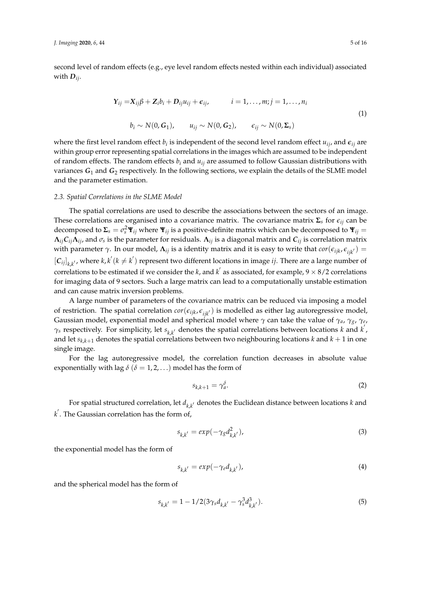second level of random effects (e.g., eye level random effects nested within each individual) associated with *Dij*.

$$
\begin{aligned} \mathbf{Y}_{ij} &= \mathbf{X}_{ij}\boldsymbol{\beta} + \mathbf{Z}_i b_i + \mathbf{D}_{ij} u_{ij} + \boldsymbol{\epsilon}_{ij}, & i &= 1, \dots, m; j = 1, \dots, n_i \\ b_i &\sim N(0, \mathbf{G}_1), & u_{ij} &\sim N(0, \mathbf{G}_2), & \boldsymbol{\epsilon}_{ij} &\sim N(0, \Sigma_s) \end{aligned} \tag{1}
$$

where the first level random effect  $b_i$  is independent of the second level random effect  $u_{ij}$ , and  $\epsilon_{ij}$  are within group error representing spatial correlations in the images which are assumed to be independent of random effects. The random effects  $b_i$  and  $u_{ij}$  are assumed to follow Gaussian distributions with variances  $G_1$  and  $G_2$  respectively. In the following sections, we explain the details of the SLME model and the parameter estimation.

# <span id="page-4-0"></span>*2.3. Spatial Correlations in the SLME Model*

The spatial correlations are used to describe the associations between the sectors of an image. These correlations are organised into a covariance matrix. The covariance matrix  $\Sigma$ <sub>*s*</sub> for  $\epsilon$ *<sub>ij</sub>* can be decomposed to  $\Sigma_s = \sigma_s^2 \Psi_{ij}$  where  $\Psi_{ij}$  is a positive-definite matrix which can be decomposed to  $\Psi_{ij} =$  $\Lambda_{ij}$ C $_{ij}\Lambda_{ij}$ , and  $\sigma_s$  is the parameter for residuals.  $\Lambda_{ij}$  is a diagonal matrix and  $C_{ij}$  is correlation matrix with parameter *γ*. In our model,  $\Lambda_{ij}$  is a identity matrix and it is easy to write that  $cor(\epsilon_{ijk}, \epsilon_{ijk'})$  =  $[C_{ij}]_{k,k'}$ , where  $k, k'(k \neq k')$  represent two different locations in image *ij*. There are a large number of correlations to be estimated if we consider the *k*, and *k*<sup>'</sup> as associated, for example,  $9 \times 8/2$  correlations for imaging data of 9 sectors. Such a large matrix can lead to a computationally unstable estimation and can cause matrix inversion problems.

A large number of parameters of the covariance matrix can be reduced via imposing a model of restriction. The spatial correlation  $\text{cor}(\epsilon_{ijk}, \epsilon_{ijk'})$  is modelled as either lag autoregressive model, Gaussian model, exponential model and spherical model where *γ* can take the value of *γa*, *γg*, *γ<sup>e</sup>* ,  $\gamma_s$  respectively. For simplicity, let  $s_{k,k'}$  denotes the spatial correlations between locations *k* and *k*<sup>'</sup>, and let  $s_{k,k+1}$  denotes the spatial correlations between two neighbouring locations  $k$  and  $k+1$  in one single image.

For the lag autoregressive model, the correlation function decreases in absolute value exponentially with lag  $\delta$  ( $\delta = 1, 2, ...$ ) model has the form of

$$
s_{k,k+1} = \gamma_a^{\delta}.
$$
 (2)

For spatial structured correlation, let  $d_{k,k'}$  denotes the Euclidean distance between locations  $k$  and  $k^{'}$ . The Gaussian correlation has the form of,

$$
s_{k,k'} = exp(-\gamma_{\mathcal{S}} d_{k,k'}^2), \qquad (3)
$$

the exponential model has the form of

$$
s_{k,k'} = exp(-\gamma_e d_{k,k'}), \qquad (4)
$$

and the spherical model has the form of

$$
s_{k,k'} = 1 - 1/2(3\gamma_s d_{k,k'} - \gamma_s^3 d_{k,k'}^3). \tag{5}
$$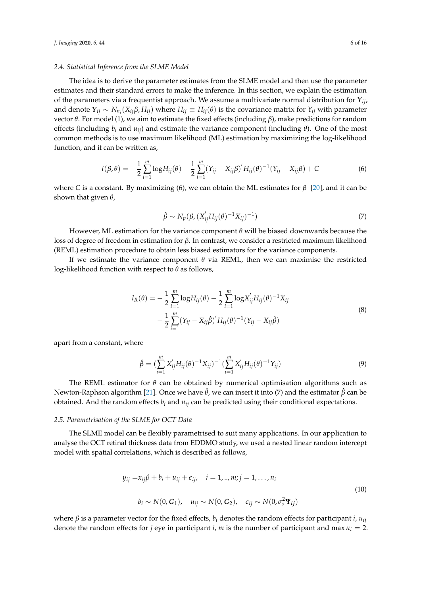#### *2.4. Statistical Inference from the SLME Model*

The idea is to derive the parameter estimates from the SLME model and then use the parameter estimates and their standard errors to make the inference. In this section, we explain the estimation of the parameters via a frequentist approach. We assume a multivariate normal distribution for *Yij*, and denote  $Y_{ij} \sim N_{n_i}(X_{ij}\beta, H_{ij})$  where  $H_{ij} \equiv H_{ij}(\theta)$  is the covariance matrix for  $Y_{ij}$  with parameter vector *θ*. For model (1), we aim to estimate the fixed effects (including *β*), make predictions for random effects (including  $b_i$  and  $u_{ij}$ ) and estimate the variance component (including  $\theta$ ). One of the most common methods is to use maximum likelihood (ML) estimation by maximizing the log-likelihood function, and it can be written as,

$$
l(\beta, \theta) = -\frac{1}{2} \sum_{i=1}^{m} \log H_{ij}(\theta) - \frac{1}{2} \sum_{i=1}^{m} (Y_{ij} - X_{ij}\beta)' H_{ij}(\theta)^{-1} (Y_{ij} - X_{ij}\beta) + C
$$
 (6)

where *C* is a constant. By maximizing (6), we can obtain the ML estimates for *β* [\[20\]](#page-15-6), and it can be shown that given *θ*,

$$
\hat{\beta} \sim N_p(\beta, (X'_{ij}H_{ij}(\theta)^{-1}X_{ij})^{-1})
$$
\n(7)

However, ML estimation for the variance component *θ* will be biased downwards because the loss of degree of freedom in estimation for *β*. In contrast, we consider a restricted maximum likelihood (REML) estimation procedure to obtain less biased estimators for the variance components.

If we estimate the variance component *θ* via REML, then we can maximise the restricted log-likelihood function with respect to *θ* as follows,

$$
l_R(\theta) = -\frac{1}{2} \sum_{i=1}^m \log H_{ij}(\theta) - \frac{1}{2} \sum_{i=1}^m \log X'_{ij} H_{ij}(\theta)^{-1} X_{ij}
$$
  

$$
- \frac{1}{2} \sum_{i=1}^m (Y_{ij} - X_{ij} \hat{\beta})' H_{ij}(\theta)^{-1} (Y_{ij} - X_{ij} \hat{\beta})
$$
(8)

apart from a constant, where

$$
\hat{\beta} = (\sum_{i=1}^{m} X'_{ij} H_{ij}(\theta)^{-1} X_{ij})^{-1} (\sum_{i=1}^{m} X'_{ij} H_{ij}(\theta)^{-1} Y_{ij})
$$
\n(9)

The REML estimator for *θ* can be obtained by numerical optimisation algorithms such as Newton-Raphson algorithm [\[21\]](#page-15-7). Once we have ˆ*θ*, we can insert it into (7) and the estimator *β*ˆ can be obtained. And the random effects  $b_i$  and  $u_{ij}$  can be predicted using their conditional expectations.

#### *2.5. Parametrisation of the SLME for OCT Data*

The SLME model can be flexibly parametrised to suit many applications. In our application to analyse the OCT retinal thickness data from EDDMO study, we used a nested linear random intercept model with spatial correlations, which is described as follows,

$$
y_{ij} = x_{ij}\beta + b_i + u_{ij} + \epsilon_{ij}, \quad i = 1, ..., m; j = 1, ..., n_i
$$
  
\n
$$
b_i \sim N(0, G_1), \quad u_{ij} \sim N(0, G_2), \quad \epsilon_{ij} \sim N(0, \sigma_s^2 \mathbf{Y}_{ij})
$$
\n(10)

where  $\beta$  is a parameter vector for the fixed effects,  $b_i$  denotes the random effects for participant *i*,  $u_{ii}$ denote the random effects for *j* eye in participant *i*, *m* is the number of participant and max  $n_i = 2$ .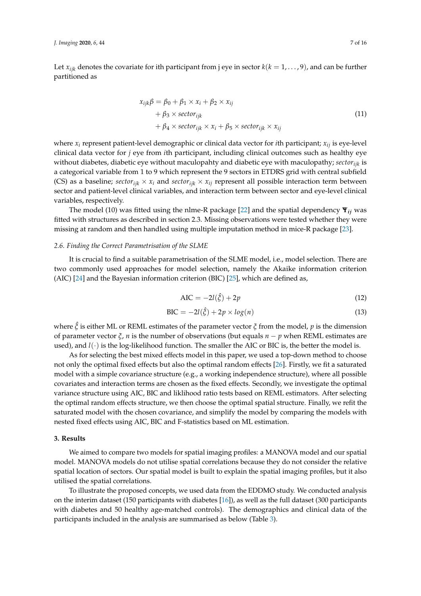Let  $x_{ijk}$  denotes the covariate for ith participant from j eye in sector  $k(k = 1, \ldots, 9)$ , and can be further partitioned as

$$
x_{ijk}\beta = \beta_0 + \beta_1 \times x_i + \beta_2 \times x_{ij}
$$
  
+  $\beta_3 \times \text{sector}_{ijk}$   
+  $\beta_4 \times \text{sector}_{ijk} \times x_i + \beta_5 \times \text{sector}_{ijk} \times x_{ij}$  (11)

where  $x_i$  represent patient-level demographic or clinical data vector for *i*th participant;  $x_{ij}$  is eye-level clinical data vector for *j* eye from *i*th participant, including clinical outcomes such as healthy eye without diabetes, diabetic eye without maculopahty and diabetic eye with maculopathy; *sectorijk* is a categorical variable from 1 to 9 which represent the 9 sectors in ETDRS grid with central subfield (CS) as a baseline;  $sector_{ijk} \times x_i$  and  $sector_{ijk} \times x_{ij}$  represent all possible interaction term between sector and patient-level clinical variables, and interaction term between sector and eye-level clinical variables, respectively.

The model (10) was fitted using the nlme-R package [\[22\]](#page-15-8) and the spatial dependency **Ψ***ij* was fitted with structures as described in section 2.3. Missing observations were tested whether they were missing at random and then handled using multiple imputation method in mice-R package [\[23\]](#page-15-9).

#### <span id="page-6-1"></span>*2.6. Finding the Correct Parametrisation of the SLME*

It is crucial to find a suitable parametrisation of the SLME model, i.e., model selection. There are two commonly used approaches for model selection, namely the Akaike information criterion (AIC) [\[24\]](#page-15-10) and the Bayesian information criterion (BIC) [\[25\]](#page-15-11), which are defined as,

$$
AIC = -2l(\hat{\xi}) + 2p \tag{12}
$$

$$
BIC = -2l(\hat{\xi}) + 2p \times \log(n) \tag{13}
$$

where  $\hat{\zeta}$  is either ML or REML estimates of the parameter vector  $\zeta$  from the model, *p* is the dimension of parameter vector *ξ*, *n* is the number of observations (but equals *n* − *p* when REML estimates are used), and  $l(\cdot)$  is the log-likelihood function. The smaller the AIC or BIC is, the better the model is.

As for selecting the best mixed effects model in this paper, we used a top-down method to choose not only the optimal fixed effects but also the optimal random effects [\[26\]](#page-15-12). Firstly, we fit a saturated model with a simple covariance structure (e.g., a working independence structure), where all possible covariates and interaction terms are chosen as the fixed effects. Secondly, we investigate the optimal variance structure using AIC, BIC and liklihood ratio tests based on REML estimators. After selecting the optimal random effects structure, we then choose the optimal spatial structure. Finally, we refit the saturated model with the chosen covariance, and simplify the model by comparing the models with nested fixed effects using AIC, BIC and F-statistics based on ML estimation.

#### <span id="page-6-0"></span>**3. Results**

We aimed to compare two models for spatial imaging profiles: a MANOVA model and our spatial model. MANOVA models do not utilise spatial correlations because they do not consider the relative spatial location of sectors. Our spatial model is built to explain the spatial imaging profiles, but it also utilised the spatial correlations.

To illustrate the proposed concepts, we used data from the EDDMO study. We conducted analysis on the interim dataset (150 participants with diabetes  $[16]$ ), as well as the full dataset (300 participants with diabetes and 50 healthy age-matched controls). The demographics and clinical data of the participants included in the analysis are summarised as below (Table [3\)](#page-7-0).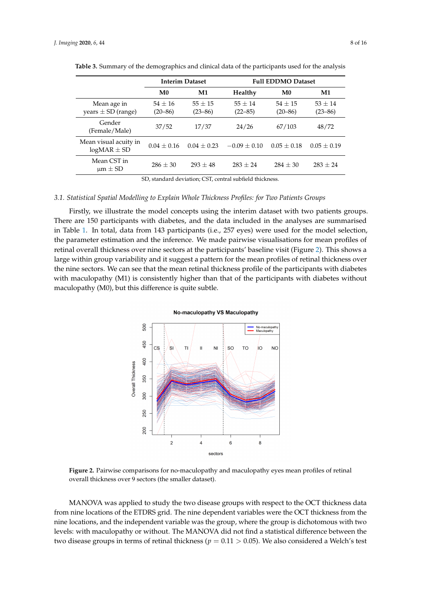|                                          | <b>Interim Dataset</b>   |                          | <b>Full EDDMO Dataset</b> |                          |                          |
|------------------------------------------|--------------------------|--------------------------|---------------------------|--------------------------|--------------------------|
|                                          | M <sub>0</sub>           | M1                       | Healthy                   | M <sub>0</sub>           | M1                       |
| Mean age in<br>years $\pm$ SD (range)    | $54 + 16$<br>$(20 - 86)$ | $55 + 15$<br>$(23 - 86)$ | $55 + 14$<br>$(22 - 85)$  | $54 + 15$<br>$(20 - 86)$ | $53 + 14$<br>$(23 - 86)$ |
| Gender<br>(Female/Male)                  | 37/52                    | 17/37                    | 24/26                     | 67/103                   | 48/72                    |
| Mean visual acuity in<br>$logMAR \pm SD$ | $0.04 + 0.16$            | $0.04 + 0.23$            | $-0.09 + 0.10$            | $0.05 + 0.18$            | $0.05 + 0.19$            |
| Mean CST in<br>$\mu$ m $\pm$ SD          | $286 \pm 30$             | $293 + 48$               | $283 + 24$                | $284 + 30$               | $283 + 24$               |

<span id="page-7-0"></span>**Table 3.** Summary of the demographics and clinical data of the participants used for the analysis

SD, standard deviation; CST, central subfield thickness.

#### <span id="page-7-2"></span>*3.1. Statistical Spatial Modelling to Explain Whole Thickness Profiles: for Two Patients Groups*

Firstly, we illustrate the model concepts using the interim dataset with two patients groups. There are 150 participants with diabetes, and the data included in the analyses are summarised in Table [1.](#page-3-0) In total, data from 143 participants (i.e., 257 eyes) were used for the model selection, the parameter estimation and the inference. We made pairwise visualisations for mean profiles of retinal overall thickness over nine sectors at the participants' baseline visit (Figure [2\)](#page-7-1). This shows a large within group variability and it suggest a pattern for the mean profiles of retinal thickness over the nine sectors. We can see that the mean retinal thickness profile of the participants with diabetes with maculopathy (M1) is consistently higher than that of the participants with diabetes without maculopathy (M0), but this difference is quite subtle.

**No-maculopathy VS Maculopathy** 

#### <span id="page-7-1"></span>500 No-maculopathy<br>Maculopathy 450  $cS$  $SC$  $T<sub>O</sub>$ ഫ **NO** 400 **Overall Thickness** 350 300 250  $200$ 8  $\overline{2}$  $\overline{4}$ 6 sectors

**Figure 2.** Pairwise comparisons for no-maculopathy and maculopathy eyes mean profiles of retinal overall thickness over 9 sectors (the smaller dataset).

MANOVA was applied to study the two disease groups with respect to the OCT thickness data from nine locations of the ETDRS grid. The nine dependent variables were the OCT thickness from the nine locations, and the independent variable was the group, where the group is dichotomous with two levels: with maculopathy or without. The MANOVA did not find a statistical difference between the two disease groups in terms of retinal thickness ( $p = 0.11 > 0.05$ ). We also considered a Welch's test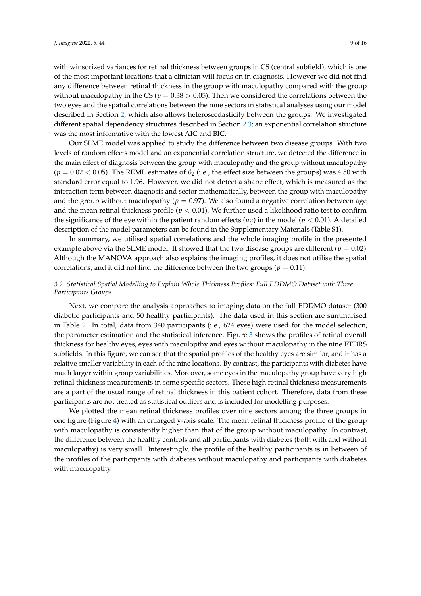was the most informative with the lowest AIC and BIC.

with winsorized variances for retinal thickness between groups in CS (central subfield), which is one of the most important locations that a clinician will focus on in diagnosis. However we did not find any difference between retinal thickness in the group with maculopathy compared with the group without maculopathy in the CS ( $p = 0.38 > 0.05$ ). Then we considered the correlations between the two eyes and the spatial correlations between the nine sectors in statistical analyses using our model described in Section [2,](#page-2-0) which also allows heteroscedasticity between the groups. We investigated different spatial dependency structures described in Section [2.3;](#page-4-0) an exponential correlation structure

Our SLME model was applied to study the difference between two disease groups. With two levels of random effects model and an exponential correlation structure, we detected the difference in the main effect of diagnosis between the group with maculopathy and the group without maculopathy ( $p = 0.02 < 0.05$ ). The REML estimates of  $\beta_2$  (i.e., the effect size between the groups) was 4.50 with standard error equal to 1.96. However, we did not detect a shape effect, which is measured as the interaction term between diagnosis and sector mathematically, between the group with maculopathy and the group without maculopathy ( $p = 0.97$ ). We also found a negative correlation between age and the mean retinal thickness profile ( $p < 0.01$ ). We further used a likelihood ratio test to confirm the significance of the eye within the patient random effects  $(u_{ij})$  in the model ( $p < 0.01$ ). A detailed description of the model parameters can be found in the Supplementary Materials (Table S1).

In summary, we utilised spatial correlations and the whole imaging profile in the presented example above via the SLME model. It showed that the two disease groups are different ( $p = 0.02$ ). Although the MANOVA approach also explains the imaging profiles, it does not utilise the spatial correlations, and it did not find the difference between the two groups ( $p = 0.11$ ).

## <span id="page-8-0"></span>*3.2. Statistical Spatial Modelling to Explain Whole Thickness Profiles: Full EDDMO Dataset with Three Participants Groups*

Next, we compare the analysis approaches to imaging data on the full EDDMO dataset (300 diabetic participants and 50 healthy participants). The data used in this section are summarised in Table [2.](#page-3-1) In total, data from 340 participants (i.e., 624 eyes) were used for the model selection, the parameter estimation and the statistical inference. Figure [3](#page-9-0) shows the profiles of retinal overall thickness for healthy eyes, eyes with maculopthy and eyes without maculopathy in the nine ETDRS subfields. In this figure, we can see that the spatial profiles of the healthy eyes are similar, and it has a relative smaller variability in each of the nine locations. By contrast, the participants with diabetes have much larger within group variabilities. Moreover, some eyes in the maculopathy group have very high retinal thickness measurements in some specific sectors. These high retinal thickness measurements are a part of the usual range of retinal thickness in this patient cohort. Therefore, data from these participants are not treated as statistical outliers and is included for modelling purposes.

We plotted the mean retinal thickness profiles over nine sectors among the three groups in one figure (Figure [4\)](#page-9-1) with an enlarged y-axis scale. The mean retinal thickness profile of the group with maculopathy is consistently higher than that of the group without maculopathy. In contrast, the difference between the healthy controls and all participants with diabetes (both with and without maculopathy) is very small. Interestingly, the profile of the healthy participants is in between of the profiles of the participants with diabetes without maculopathy and participants with diabetes with maculopathy.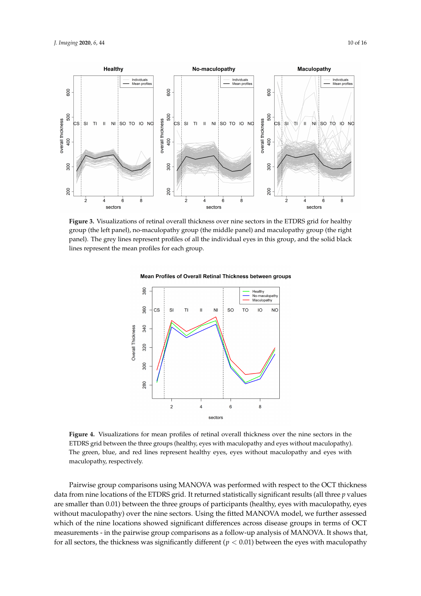<span id="page-9-0"></span>

<span id="page-9-1"></span>**Figure 3.** Visualizations of retinal overall thickness over nine sectors in the ETDRS grid for healthy group (the left panel), no-maculopathy group (the middle panel) and maculopathy group (the right panel). The grey lines represent profiles of all the individual eyes in this group, and the solid black lines represent the mean profiles for each group.



Mean Profiles of Overall Retinal Thickness between groups

**Figure 4.** Visualizations for mean profiles of retinal overall thickness over the nine sectors in the ETDRS grid between the three groups (healthy, eyes with maculopathy and eyes without maculopathy). The green, blue, and red lines represent healthy eyes, eyes without maculopathy and eyes with maculopathy, respectively.

Pairwise group comparisons using MANOVA was performed with respect to the OCT thickness data from nine locations of the ETDRS grid. It returned statistically significant results (all three *p* values are smaller than 0.01) between the three groups of participants (healthy, eyes with maculopathy, eyes without maculopathy) over the nine sectors. Using the fitted MANOVA model, we further assessed which of the nine locations showed significant differences across disease groups in terms of OCT measurements - in the pairwise group comparisons as a follow-up analysis of MANOVA. It shows that, for all sectors, the thickness was significantly different ( $p < 0.01$ ) between the eyes with maculopathy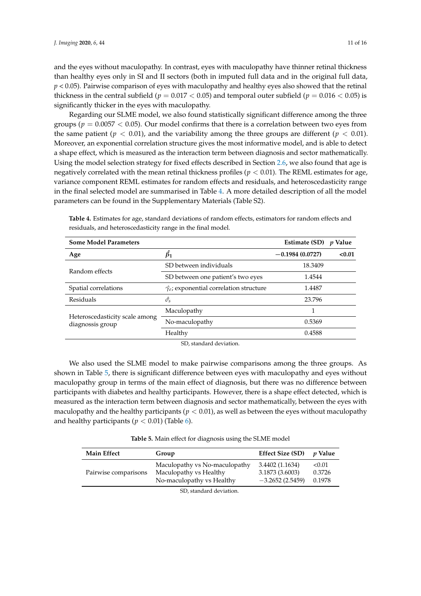and the eyes without maculopathy. In contrast, eyes with maculopathy have thinner retinal thickness than healthy eyes only in SI and II sectors (both in imputed full data and in the original full data, *p* < 0.05). Pairwise comparison of eyes with maculopathy and healthy eyes also showed that the retinal thickness in the central subfield ( $p = 0.017 < 0.05$ ) and temporal outer subfield ( $p = 0.016 < 0.05$ ) is significantly thicker in the eyes with maculopathy.

Regarding our SLME model, we also found statistically significant difference among the three groups ( $p = 0.0057 < 0.05$ ). Our model confirms that there is a correlation between two eyes from the same patient ( $p < 0.01$ ), and the variability among the three groups are different ( $p < 0.01$ ). Moreover, an exponential correlation structure gives the most informative model, and is able to detect a shape effect, which is measured as the interaction term between diagnosis and sector mathematically. Using the model selection strategy for fixed effects described in Section [2.6,](#page-6-1) we also found that age is negatively correlated with the mean retinal thickness profiles ( $p < 0.01$ ). The REML estimates for age, variance component REML estimates for random effects and residuals, and heteroscedasticity range in the final selected model are summarised in Table [4.](#page-10-0) A more detailed description of all the model parameters can be found in the Supplementary Materials (Table S2).

| <b>Some Model Parameters</b>                       |                                                      | Estimate (SD)     | <i>p</i> Value |
|----------------------------------------------------|------------------------------------------------------|-------------------|----------------|
| Age                                                | $\beta_1$                                            | $-0.1984(0.0727)$ | < 0.01         |
| Random effects                                     | SD between individuals                               | 18.3409           |                |
|                                                    | SD between one patient's two eyes                    | 1.4544            |                |
| Spatial correlations                               | $\hat{\gamma}_e$ ; exponential correlation structure | 1.4487            |                |
| Residuals                                          | $\hat{\sigma}_{\rm s}$                               | 23.796            |                |
|                                                    | Maculopathy                                          |                   |                |
| Heteroscedasticity scale among<br>diagnossis group | No-maculopathy                                       | 0.5369            |                |
|                                                    | Healthy                                              | 0.4588            |                |

<span id="page-10-0"></span>**Table 4.** Estimates for age, standard deviations of random effects, estimators for random effects and residuals, and heteroscedasticity range in the final model.

SD, standard deviation.

We also used the SLME model to make pairwise comparisons among the three groups. As shown in Table [5,](#page-10-1) there is significant difference between eyes with maculopathy and eyes without maculopathy group in terms of the main effect of diagnosis, but there was no difference between participants with diabetes and healthy participants. However, there is a shape effect detected, which is measured as the interaction term between diagnosis and sector mathematically, between the eyes with maculopathy and the healthy participants ( $p < 0.01$ ), as well as between the eyes without maculopathy and healthy participants ( $p < 0.01$ ) (Table [6\)](#page-11-1).

**Table 5.** Main effect for diagnosis using the SLME model

<span id="page-10-1"></span>

| <b>Main Effect</b>   | Group                                                                                | <b>Effect Size (SD)</b>                                 | <i>v</i> Value             |
|----------------------|--------------------------------------------------------------------------------------|---------------------------------------------------------|----------------------------|
| Pairwise comparisons | Maculopathy vs No-maculopathy<br>Maculopathy vs Healthy<br>No-maculopathy vs Healthy | 3.4402 (1.1634)<br>3.1873 (3.6003)<br>$-3.2652(2.5459)$ | < 0.01<br>0.3726<br>0.1978 |
|                      | SD, standard deviation.                                                              |                                                         |                            |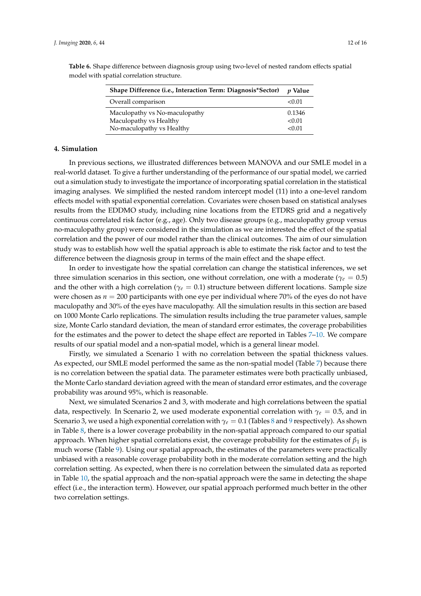| Shape Difference (i.e., Interaction Term: Diagnosis*Sector)                          | <i>v</i> Value             |
|--------------------------------------------------------------------------------------|----------------------------|
| Overall comparison                                                                   | < 0.01                     |
| Maculopathy vs No-maculopathy<br>Maculopathy vs Healthy<br>No-maculopathy vs Healthy | 0.1346<br>< 0.01<br>< 0.01 |

<span id="page-11-1"></span>**Table 6.** Shape difference between diagnosis group using two-level of nested random effects spatial model with spatial correlation structure.

#### <span id="page-11-0"></span>**4. Simulation**

In previous sections, we illustrated differences between MANOVA and our SMLE model in a real-world dataset. To give a further understanding of the performance of our spatial model, we carried out a simulation study to investigate the importance of incorporating spatial correlation in the statistical imaging analyses. We simplified the nested random intercept model (11) into a one-level random effects model with spatial exponential correlation. Covariates were chosen based on statistical analyses results from the EDDMO study, including nine locations from the ETDRS grid and a negatively continuous correlated risk factor (e.g., age). Only two disease groups (e.g., maculopathy group versus no-maculopathy group) were considered in the simulation as we are interested the effect of the spatial correlation and the power of our model rather than the clinical outcomes. The aim of our simulation study was to establish how well the spatial approach is able to estimate the risk factor and to test the difference between the diagnosis group in terms of the main effect and the shape effect.

In order to investigate how the spatial correlation can change the statistical inferences, we set three simulation scenarios in this section, one without correlation, one with a moderate ( $\gamma_e = 0.5$ ) and the other with a high correlation ( $\gamma$ <sup>*e*</sup> = 0.1) structure between different locations. Sample size were chosen as  $n = 200$  participants with one eye per individual where 70% of the eyes do not have maculopathy and 30% of the eyes have maculopathy. All the simulation results in this section are based on 1000 Monte Carlo replications. The simulation results including the true parameter values, sample size, Monte Carlo standard deviation, the mean of standard error estimates, the coverage probabilities for the estimates and the power to detect the shape effect are reported in Tables [7](#page-12-1)[–10.](#page-12-2) We compare results of our spatial model and a non-spatial model, which is a general linear model.

Firstly, we simulated a Scenario 1 with no correlation between the spatial thickness values. As expected, our SMLE model performed the same as the non-spatial model (Table [7\)](#page-12-1) because there is no correlation between the spatial data. The parameter estimates were both practically unbiased, the Monte Carlo standard deviation agreed with the mean of standard error estimates, and the coverage probability was around 95%, which is reasonable.

Next, we simulated Scenarios 2 and 3, with moderate and high correlations between the spatial data, respectively. In Scenario 2, we used moderate exponential correlation with *γ<sup>e</sup>* = 0.5, and in Scenario 3, we used a high exponential correlation with *γ<sup>e</sup>* = 0.1 (Tables [8](#page-12-3) and [9](#page-12-4) respectively). As shown in Table [8,](#page-12-3) there is a lower coverage probability in the non-spatial approach compared to our spatial approach. When higher spatial correlations exist, the coverage probability for the estimates of  $\beta_1$  is much worse (Table [9\)](#page-12-4). Using our spatial approach, the estimates of the parameters were practically unbiased with a reasonable coverage probability both in the moderate correlation setting and the high correlation setting. As expected, when there is no correlation between the simulated data as reported in Table [10,](#page-12-2) the spatial approach and the non-spatial approach were the same in detecting the shape effect (i.e., the interaction term). However, our spatial approach performed much better in the other two correlation settings.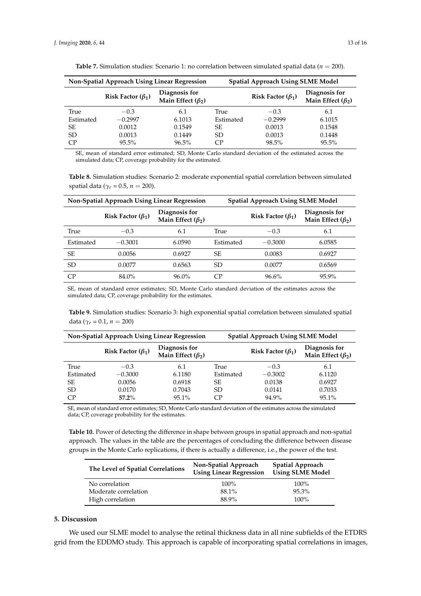<span id="page-12-1"></span>

| <b>Non-Spatial Approach Using Linear Regression</b> |                         | <b>Spatial Approach Using SLME Model</b> |           |                         |                                          |
|-----------------------------------------------------|-------------------------|------------------------------------------|-----------|-------------------------|------------------------------------------|
|                                                     | Risk Factor $(\beta_1)$ | Diagnosis for<br>Main Effect $(\beta_2)$ |           | Risk Factor $(\beta_1)$ | Diagnosis for<br>Main Effect $(\beta_2)$ |
| True                                                | $-0.3$                  | 6.1                                      | True      | $-0.3$                  | 6.1                                      |
| Estimated                                           | $-0.2997$               | 6.1013                                   | Estimated | $-0.2999$               | 6.1015                                   |
| SЕ                                                  | 0.0012                  | 0.1549                                   | SE.       | 0.0013                  | 0.1548                                   |
| SD.                                                 | 0.0013                  | 0.1449                                   | SD.       | 0.0013                  | 0.1448                                   |
| CP <sup></sup>                                      | $95.5\%$                | 96.5%                                    | CР        | 98.5%                   | $95.5\%$                                 |

**Table 7.** Simulation studies: Scenario 1: no correlation between simulated spatial data (*n* = 200).

SE, mean of standard error estimated; SD, Monte Carlo standard deviation of the estimated across the simulated data; CP, coverage probability for the estimated.

**Table 8.** Simulation studies: Scenario 2: moderate exponential spatial correlation between simulated spatial data ( $\gamma_e$  = 0.5, *n* = 200).

<span id="page-12-3"></span>

| Non-Spatial Approach Using Linear Regression |                         | <b>Spatial Approach Using SLME Model</b> |           |                         |                                          |
|----------------------------------------------|-------------------------|------------------------------------------|-----------|-------------------------|------------------------------------------|
|                                              | Risk Factor $(\beta_1)$ | Diagnosis for<br>Main Effect $(\beta_2)$ |           | Risk Factor $(\beta_1)$ | Diagnosis for<br>Main Effect $(\beta_2)$ |
| True                                         | $-0.3$                  | 6.1                                      | True      | $-0.3$                  | 6.1                                      |
| Estimated                                    | $-0.3001$               | 6.0590                                   | Estimated | $-0.3000$               | 6.0585                                   |
| SE.                                          | 0.0056                  | 0.6927                                   | SE.       | 0.0083                  | 0.6927                                   |
| <b>SD</b>                                    | 0.0077                  | 0.6563                                   | SD.       | 0.0077                  | 0.6569                                   |
| CP                                           | 84.0%                   | $96.0\%$                                 | CP        | $96.6\%$                | 95.9%                                    |

SE, mean of standard error estimates; SD, Monte Carlo standard deviation of the estimates across the simulated data; CP, coverage probability for the estimates.

**Table 9.** Simulation studies: Scenario 3: high exponential spatial correlation between simulated spatial data ( $\gamma_e = 0.1$ ,  $n = 200$ )

<span id="page-12-4"></span>

| Non-Spatial Approach Using Linear Regression |                         | <b>Spatial Approach Using SLME Model</b> |           |                         |                                          |
|----------------------------------------------|-------------------------|------------------------------------------|-----------|-------------------------|------------------------------------------|
|                                              | Risk Factor $(\beta_1)$ | Diagnosis for<br>Main Effect $(\beta_2)$ |           | Risk Factor $(\beta_1)$ | Diagnosis for<br>Main Effect $(\beta_2)$ |
| True                                         | $-0.3$                  | 6.1                                      | True      | $-0.3$                  | 6.1                                      |
| Estimated                                    | $-0.3000$               | 6.1180                                   | Estimated | $-0.3002$               | 6.1120                                   |
| SE                                           | 0.0056                  | 0.6918                                   | SE.       | 0.0138                  | 0.6927                                   |
| SD.                                          | 0.0170                  | 0.7043                                   | SD.       | 0.0141                  | 0.7033                                   |
| CP                                           | $57.2\%$                | 95.1%                                    | CР        | 94.9%                   | 95.1%                                    |

SE, mean of standard error estimates; SD, Monte Carlo standard deviation of the estimates across the simulated data; CP, coverage probability for the estimates.

<span id="page-12-2"></span>**Table 10.** Power of detecting the difference in shape between groups in spatial approach and non-spatial approach. The values in the table are the percentages of concluding the difference between disease groups in the Monte Carlo replications, if there is actually a difference, i.e., the power of the test.

| The Level of Spatial Correlations | Non-Spatial Approach<br><b>Using Linear Regression</b> | <b>Spatial Approach</b><br><b>Using SLME Model</b> |
|-----------------------------------|--------------------------------------------------------|----------------------------------------------------|
| No correlation                    | $100\%$                                                | $100\%$                                            |
| Moderate correlation              | 88.1%                                                  | $95.3\%$                                           |
| High correlation                  | 88.9%                                                  | $100\%$                                            |

#### <span id="page-12-0"></span>**5. Discussion**

We used our SLME model to analyse the retinal thickness data in all nine subfields of the ETDRS grid from the EDDMO study. This approach is capable of incorporating spatial correlations in images,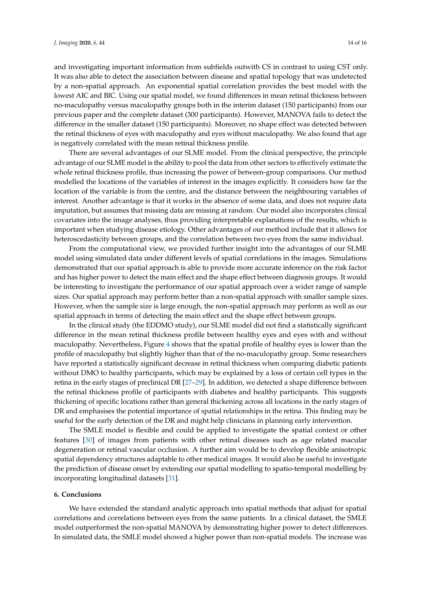and investigating important information from subfields outwith CS in contrast to using CST only. It was also able to detect the association between disease and spatial topology that was undetected by a non-spatial approach. An exponential spatial correlation provides the best model with the lowest AIC and BIC. Using our spatial model, we found differences in mean retinal thickness between no-maculopathy versus maculopathy groups both in the interim dataset (150 participants) from our previous paper and the complete dataset (300 participants). However, MANOVA fails to detect the difference in the smaller dataset (150 participants). Moreover, no shape effect was detected between the retinal thickness of eyes with maculopathy and eyes without maculopathy. We also found that age is negatively correlated with the mean retinal thickness profile.

There are several advantages of our SLME model. From the clinical perspective, the principle advantage of our SLME model is the ability to pool the data from other sectors to effectively estimate the whole retinal thickness profile, thus increasing the power of between-group comparisons. Our method modelled the locations of the variables of interest in the images explicitly. It considers how far the location of the variable is from the centre, and the distance between the neighbouring variables of interest. Another advantage is that it works in the absence of some data, and does not require data imputation, but assumes that missing data are missing at random. Our model also incorporates clinical covariates into the image analyses, thus providing interpretable explanations of the results, which is important when studying disease etiology. Other advantages of our method include that it allows for heteroscedasticity between groups, and the correlation between two eyes from the same individual.

From the computational view, we provided further insight into the advantages of our SLME model using simulated data under different levels of spatial correlations in the images. Simulations demonstrated that our spatial approach is able to provide more accurate inference on the risk factor and has higher power to detect the main effect and the shape effect between diagnosis groups. It would be interesting to investigate the performance of our spatial approach over a wider range of sample sizes. Our spatial approach may perform better than a non-spatial approach with smaller sample sizes. However, when the sample size is large enough, the non-spatial approach may perform as well as our spatial approach in terms of detecting the main effect and the shape effect between groups.

In the clinical study (the EDDMO study), our SLME model did not find a statistically significant difference in the mean retinal thickness profile between healthy eyes and eyes with and without maculopathy. Nevertheless, Figure [4](#page-9-1) shows that the spatial profile of healthy eyes is lower than the profile of maculopathy but slightly higher than that of the no-maculopathy group. Some researchers have reported a statistically significant decrease in retinal thickness when comparing diabetic patients without DMO to healthy participants, which may be explained by a loss of certain cell types in the retina in the early stages of preclinical DR [\[27](#page-15-13)[–29\]](#page-15-14). In addition, we detected a shape difference between the retinal thickness profile of participants with diabetes and healthy participants. This suggests thickening of specific locations rather than general thickening across all locations in the early stages of DR and emphasises the potential importance of spatial relationships in the retina. This finding may be useful for the early detection of the DR and might help clinicians in planning early intervention.

The SMLE model is flexible and could be applied to investigate the spatial context or other features [\[30\]](#page-15-15) of images from patients with other retinal diseases such as age related macular degeneration or retinal vascular occlusion. A further aim would be to develop flexible anisotropic spatial dependency structures adaptable to other medical images. It would also be useful to investigate the prediction of disease onset by extending our spatial modelling to spatio-temporal modelling by incorporating longitudinal datasets [\[31\]](#page-15-16).

#### <span id="page-13-0"></span>**6. Conclusions**

We have extended the standard analytic approach into spatial methods that adjust for spatial correlations and correlations between eyes from the same patients. In a clinical dataset, the SMLE model outperformed the non-spatial MANOVA by demonstrating higher power to detect differences. In simulated data, the SMLE model showed a higher power than non-spatial models. The increase was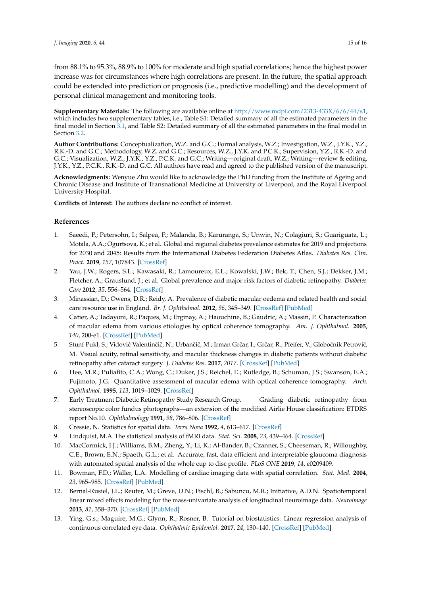from 88.1% to 95.3%, 88.9% to 100% for moderate and high spatial correlations; hence the highest power increase was for circumstances where high correlations are present. In the future, the spatial approach could be extended into prediction or prognosis (i.e., predictive modelling) and the development of personal clinical management and monitoring tools.

**Supplementary Materials:** The following are available online at [http://www.mdpi.com/2313-433X/6/6/44/s1,](http://www.mdpi.com/2313-433X/6/6/44/s1) which includes two supplementary tables, i.e., Table S1: Detailed summary of all the estimated parameters in the final model in Section [3.1,](#page-7-2) and Table S2: Detailed summary of all the estimated parameters in the final model in Section [3.2.](#page-8-0)

**Author Contributions:** Conceptualization, W.Z. and G.C.; Formal analysis, W.Z.; Investigation, W.Z., J.Y.K., Y.Z., R.K.-D. and G.C.; Methodology, W.Z. and G.C.; Resources, W.Z., J.Y.K. and P.C.K.; Supervision, Y.Z., R.K.-D. and G.C.; Visualization, W.Z., J.Y.K., Y.Z., P.C.K. and G.C.; Writing—original draft, W.Z.; Writing—review & editing, J.Y.K., Y.Z., P.C.K., R.K.-D. and G.C. All authors have read and agreed to the published version of the manuscript.

**Acknowledgments:** Wenyue Zhu would like to acknowledge the PhD funding from the Institute of Ageing and Chronic Disease and Institute of Transnational Medicine at University of Liverpool, and the Royal Liverpool University Hospital.

**Conflicts of Interest:** The authors declare no conflict of interest.

# **References**

- <span id="page-14-0"></span>1. Saeedi, P.; Petersohn, I.; Salpea, P.; Malanda, B.; Karuranga, S.; Unwin, N.; Colagiuri, S.; Guariguata, L.; Motala, A.A.; Ogurtsova, K.; et al. Global and regional diabetes prevalence estimates for 2019 and projections for 2030 and 2045: Results from the International Diabetes Federation Diabetes Atlas. *Diabetes Res. Clin. Pract.* **2019**, *157*, 107843. [\[CrossRef\]](http://dx.doi.org/10.1016/j.diabres.2019.107843)
- <span id="page-14-1"></span>2. Yau, J.W.; Rogers, S.L.; Kawasaki, R.; Lamoureux, E.L.; Kowalski, J.W.; Bek, T.; Chen, S.J.; Dekker, J.M.; Fletcher, A.; Grauslund, J.; et al. Global prevalence and major risk factors of diabetic retinopathy. *Diabetes Care* **2012**, *35*, 556–564. [\[CrossRef\]](http://dx.doi.org/10.2337/dc11-1909)
- <span id="page-14-2"></span>3. Minassian, D.; Owens, D.R.; Reidy, A. Prevalence of diabetic macular oedema and related health and social care resource use in England. *Br. J. Ophthalmol.* **2012**, *96*, 345–349. [\[CrossRef\]](http://dx.doi.org/10.1136/bjo.2011.204040) [\[PubMed\]](http://www.ncbi.nlm.nih.gov/pubmed/21602478)
- <span id="page-14-3"></span>4. Catier, A.; Tadayoni, R.; Paques, M.; Erginay, A.; Haouchine, B.; Gaudric, A.; Massin, P. Characterization of macular edema from various etiologies by optical coherence tomography. *Am. J. Ophthalmol.* **2005**, *140*, 200-e1. [\[CrossRef\]](http://dx.doi.org/10.1016/j.ajo.2005.02.053) [\[PubMed\]](http://www.ncbi.nlm.nih.gov/pubmed/15992752)
- <span id="page-14-4"></span>5. Stunf Pukl, S.; Vidović Valentinčič, N.; Urbančič, M.; Irman Grčar, I.; Grčar, R.; Pfeifer, V.; Globočnik Petrovič, M. Visual acuity, retinal sensitivity, and macular thickness changes in diabetic patients without diabetic retinopathy after cataract surgery. *J. Diabetes Res.* **2017**, *2017*. [\[CrossRef\]](http://dx.doi.org/10.1155/2017/3459156) [\[PubMed\]](http://www.ncbi.nlm.nih.gov/pubmed/28243608)
- <span id="page-14-5"></span>6. Hee, M.R.; Puliafito, C.A.; Wong, C.; Duker, J.S.; Reichel, E.; Rutledge, B.; Schuman, J.S.; Swanson, E.A.; Fujimoto, J.G. Quantitative assessment of macular edema with optical coherence tomography. *Arch. Ophthalmol.* **1995**, *113*, 1019–1029. [\[CrossRef\]](http://dx.doi.org/10.1001/archopht.1995.01100080071031)
- <span id="page-14-6"></span>7. Early Treatment Diabetic Retinopathy Study Research Group. Grading diabetic retinopathy from stereoscopic color fundus photographs—an extension of the modified Airlie House classification: ETDRS report No.10. *Ophthalmology* **1991**, *98*, 786–806. [\[CrossRef\]](http://dx.doi.org/10.1016/S0161-6420(13)38012-9)
- <span id="page-14-7"></span>8. Cressie, N. Statistics for spatial data. *Terra Nova* **1992**, *4*, 613–617. [\[CrossRef\]](http://dx.doi.org/10.1111/j.1365-3121.1992.tb00605.x)
- <span id="page-14-8"></span>9. Lindquist, M.A.The statistical analysis of fMRI data. *Stat. Sci.* **2008**, *23*, 439–464. [\[CrossRef\]](http://dx.doi.org/10.1214/09-STS282)
- <span id="page-14-9"></span>10. MacCormick, I.J.; Williams, B.M.; Zheng, Y.; Li, K.; Al-Bander, B.; Czanner, S.; Cheeseman, R.; Willoughby, C.E.; Brown, E.N.; Spaeth, G.L.; et al. Accurate, fast, data efficient and interpretable glaucoma diagnosis with automated spatial analysis of the whole cup to disc profile. *PLoS ONE* **2019**, *14*, e0209409.
- <span id="page-14-10"></span>11. Bowman, F.D.; Waller, L.A. Modelling of cardiac imaging data with spatial correlation. *Stat. Med.* **2004**, *23*, 965–985. [\[CrossRef\]](http://dx.doi.org/10.1002/sim.1741) [\[PubMed\]](http://www.ncbi.nlm.nih.gov/pubmed/15027083)
- <span id="page-14-11"></span>12. Bernal-Rusiel, J.L.; Reuter, M.; Greve, D.N.; Fischl, B.; Sabuncu, M.R.; Initiative, A.D.N. Spatiotemporal linear mixed effects modeling for the mass-univariate analysis of longitudinal neuroimage data. *Neuroimage* **2013**, *81*, 358–370. [\[CrossRef\]](http://dx.doi.org/10.1016/j.neuroimage.2013.05.049) [\[PubMed\]](http://www.ncbi.nlm.nih.gov/pubmed/23702413)
- <span id="page-14-12"></span>13. Ying, G.s.; Maguire, M.G.; Glynn, R.; Rosner, B. Tutorial on biostatistics: Linear regression analysis of continuous correlated eye data. *Ophthalmic Epidemiol.* **2017**, *24*, 130–140. [\[CrossRef\]](http://dx.doi.org/10.1080/09286586.2016.1259636) [\[PubMed\]](http://www.ncbi.nlm.nih.gov/pubmed/28102741)